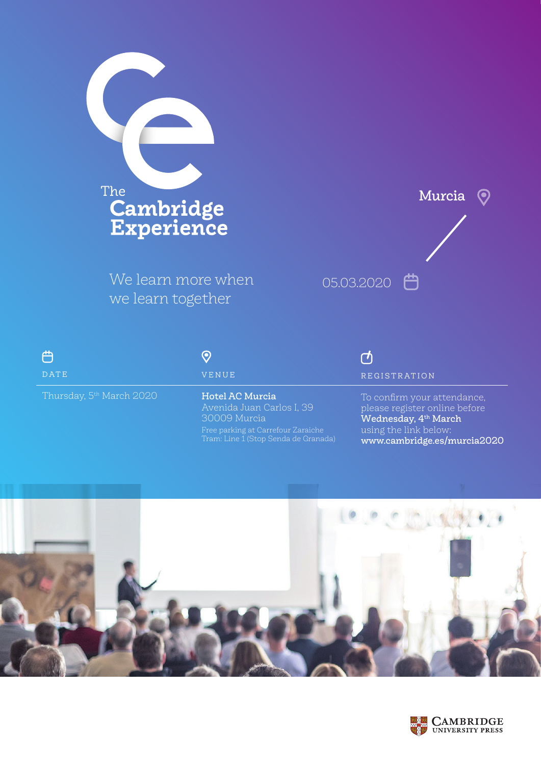

We learn more when we learn together



| 户<br>DATE                            | VENUE                                        | $\cap$<br><b>REGISTRATION</b>                                |
|--------------------------------------|----------------------------------------------|--------------------------------------------------------------|
| Thursday, 5 <sup>th</sup> March 2020 | Hotel AC Murcia<br>Avenida Juan Carlos I, 39 | To confirm your attendance,<br>please register online before |

Free parking at Carrefour Zaraiche Tram: Line 1 (Stop Senda de Granada)

30009 Murcia

please register online before Wednesday, 4<sup>th</sup> March using the link below: www.cambridge.es/murcia2020